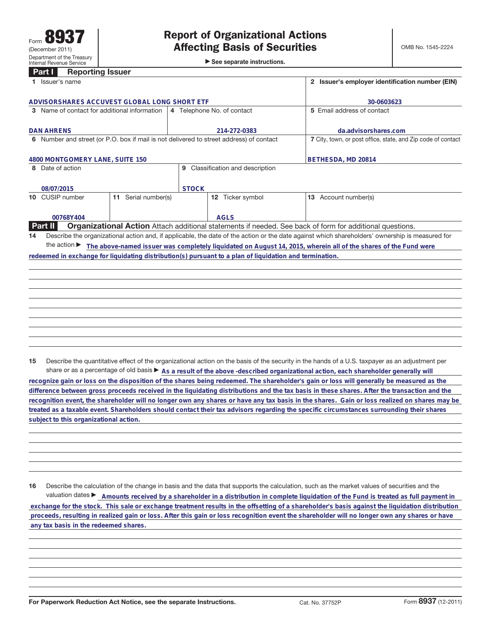|  |  | See separate instructions. |
|--|--|----------------------------|
|--|--|----------------------------|

|                                                                                         | Part I<br><b>Reporting Issuer</b> |                        |                            |                                                                                                         |  |                                                                                                                                                 |
|-----------------------------------------------------------------------------------------|-----------------------------------|------------------------|----------------------------|---------------------------------------------------------------------------------------------------------|--|-------------------------------------------------------------------------------------------------------------------------------------------------|
|                                                                                         | 1 Issuer's name                   |                        |                            |                                                                                                         |  | 2 Issuer's employer identification number (EIN)                                                                                                 |
|                                                                                         |                                   |                        |                            |                                                                                                         |  |                                                                                                                                                 |
| ADVISORSHARES ACCUVEST GLOBAL LONG SHORT ETF                                            |                                   |                        |                            |                                                                                                         |  | 30-0603623                                                                                                                                      |
| 3 Name of contact for additional information                                            |                                   |                        | 4 Telephone No. of contact |                                                                                                         |  | 5 Email address of contact                                                                                                                      |
|                                                                                         |                                   |                        |                            |                                                                                                         |  |                                                                                                                                                 |
|                                                                                         | <b>DAN AHRENS</b>                 |                        | 214-272-0383               |                                                                                                         |  | da.advisorshares.com                                                                                                                            |
| 6 Number and street (or P.O. box if mail is not delivered to street address) of contact |                                   |                        |                            |                                                                                                         |  | 7 City, town, or post office, state, and Zip code of contact                                                                                    |
|                                                                                         |                                   |                        |                            |                                                                                                         |  |                                                                                                                                                 |
| 4800 MONTGOMERY LANE, SUITE 150                                                         |                                   |                        |                            |                                                                                                         |  | BETHESDA, MD 20814                                                                                                                              |
| 8 Date of action                                                                        |                                   |                        | 9                          | Classification and description                                                                          |  |                                                                                                                                                 |
|                                                                                         |                                   |                        |                            |                                                                                                         |  |                                                                                                                                                 |
| 08/07/2015                                                                              |                                   |                        | <b>STOCK</b>               |                                                                                                         |  |                                                                                                                                                 |
| 10                                                                                      | CUSIP number                      | Serial number(s)<br>11 |                            | 12 Ticker symbol                                                                                        |  | 13 Account number(s)                                                                                                                            |
|                                                                                         |                                   |                        |                            |                                                                                                         |  |                                                                                                                                                 |
|                                                                                         | 00768Y404                         |                        |                            | <b>AGLS</b>                                                                                             |  |                                                                                                                                                 |
|                                                                                         | <b>Part II</b>                    |                        |                            |                                                                                                         |  | <b>Organizational Action</b> Attach additional statements if needed. See back of form for additional questions.                                 |
| 14                                                                                      |                                   |                        |                            |                                                                                                         |  | Describe the organizational action and, if applicable, the date of the action or the date against which shareholders' ownership is measured for |
|                                                                                         | the action $\blacktriangleright$  |                        |                            |                                                                                                         |  | The above-named issuer was completely liquidated on August 14, 2015, wherein all of the shares of the Fund were                                 |
|                                                                                         |                                   |                        |                            | redeemed in exchange for liquidating distribution(s) pursuant to a plan of liquidation and termination. |  |                                                                                                                                                 |
|                                                                                         |                                   |                        |                            |                                                                                                         |  |                                                                                                                                                 |
|                                                                                         |                                   |                        |                            |                                                                                                         |  |                                                                                                                                                 |
|                                                                                         |                                   |                        |                            |                                                                                                         |  |                                                                                                                                                 |
|                                                                                         |                                   |                        |                            |                                                                                                         |  |                                                                                                                                                 |
|                                                                                         |                                   |                        |                            |                                                                                                         |  |                                                                                                                                                 |

**15** Describe the quantitative effect of the organizational action on the basis of the security in the hands of a U.S. taxpayer as an adjustment per share or as a percentage of old basis  $\blacktriangleright$  As a result of the above -described organizational action, each shareholder generally will

**recognize gain or loss on the disposition of the shares being redeemed. The shareholder's gain or loss will generally be measured as the difference between gross proceeds received in the liquidating distributions and the tax basis in these shares. After the transaction and the recognition event, the shareholder will no longer own any shares or have any tax basis in the shares. Gain or loss realized on shares may be treated as a taxable event. Shareholders should contact their tax advisors regarding the specific circumstances surrounding their shares subject to this organizational action.**

**16** Describe the calculation of the change in basis and the data that supports the calculation, such as the market values of securities and the valuation dates **E** Amounts received by a shareholder in a distribution in complete liquidation of the Fund is treated as full payment in  **exchange for the stock. This sale or exchange treatment results in the offsetting of a shareholder's basis against the liquidation distribution proceeds, resulting in realized gain or loss. After this gain or loss recognition event the shareholder will no longer own any shares or have any tax basis in the redeemed shares.**